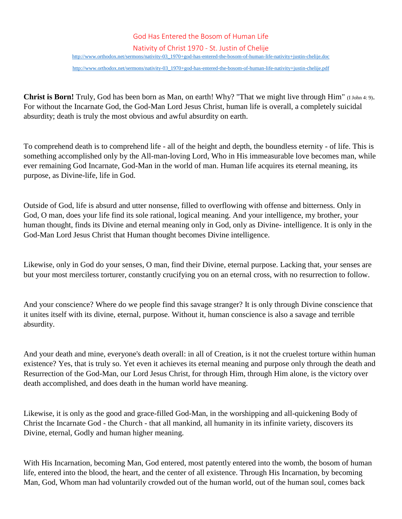## God Has Entered the Bosom of Human Life

Nativity of Christ 1970 - St. Justin of Chelije

[http://www.orthodox.net/sermons/nativity-03\\_1970+god-has-entered-the-bosom-of-human-life-nativity+justin-chelije.doc](https://www.orthodox.net//sermons/nativity-03_1970+god-has-entered-the-bosom-of-human-life-nativity+justin-chelije.doc)

[http://www.orthodox.net/sermons/nativity-03\\_1970+god-has-entered-the-bosom-of-human-life-nativity+justin-chelije.pdf](https://www.orthodox.net//sermons/nativity-03_1970+god-has-entered-the-bosom-of-human-life-nativity+justin-chelije.pdf)

**Christ is Born!** Truly, God has been born as Man, on earth! Why? "That we might live through Him" (I John 4: 9). For without the Incarnate God, the God-Man Lord Jesus Christ, human life is overall, a completely suicidal absurdity; death is truly the most obvious and awful absurdity on earth.

To comprehend death is to comprehend life - all of the height and depth, the boundless eternity - of life. This is something accomplished only by the All-man-loving Lord, Who in His immeasurable love becomes man, while ever remaining God Incarnate, God-Man in the world of man. Human life acquires its eternal meaning, its purpose, as Divine-life, life in God.

Outside of God, life is absurd and utter nonsense, filled to overflowing with offense and bitterness. Only in God, O man, does your life find its sole rational, logical meaning. And your intelligence, my brother, your human thought, finds its Divine and eternal meaning only in God, only as Divine- intelligence. It is only in the God-Man Lord Jesus Christ that Human thought becomes Divine intelligence.

Likewise, only in God do your senses, O man, find their Divine, eternal purpose. Lacking that, your senses are but your most merciless torturer, constantly crucifying you on an eternal cross, with no resurrection to follow.

And your conscience? Where do we people find this savage stranger? It is only through Divine conscience that it unites itself with its divine, eternal, purpose. Without it, human conscience is also a savage and terrible absurdity.

And your death and mine, everyone's death overall: in all of Creation, is it not the cruelest torture within human existence? Yes, that is truly so. Yet even it achieves its eternal meaning and purpose only through the death and Resurrection of the God-Man, our Lord Jesus Christ, for through Him, through Him alone, is the victory over death accomplished, and does death in the human world have meaning.

Likewise, it is only as the good and grace-filled God-Man, in the worshipping and all-quickening Body of Christ the Incarnate God - the Church - that all mankind, all humanity in its infinite variety, discovers its Divine, eternal, Godly and human higher meaning.

With His Incarnation, becoming Man, God entered, most patently entered into the womb, the bosom of human life, entered into the blood, the heart, and the center of all existence. Through His Incarnation, by becoming Man, God, Whom man had voluntarily crowded out of the human world, out of the human soul, comes back